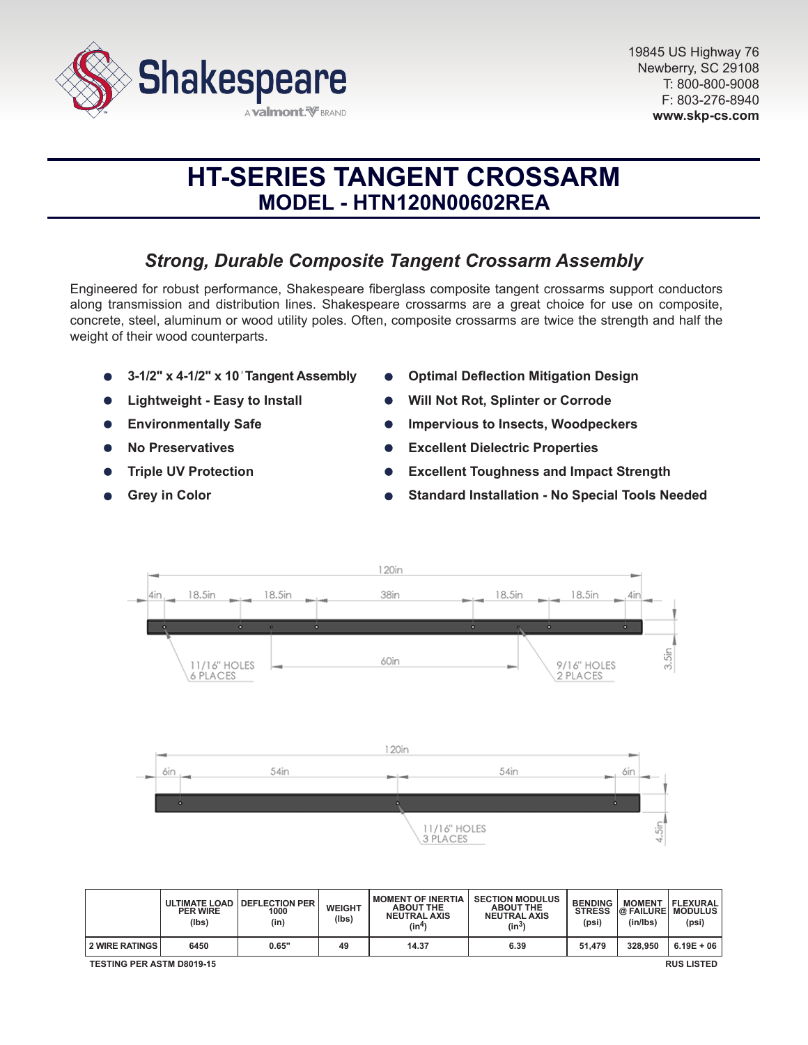

# **HT-SERIES TANGENT CROSSARM MODEL - HTN120N00602REA**

# *Strong, Durable Composite Tangent Crossarm Assembly*

Engineered for robust performance, Shakespeare fiberglass composite tangent crossarms support conductors along transmission and distribution lines. Shakespeare crossarms are a great choice for use on composite, concrete, steel, aluminum or wood utility poles. Often, composite crossarms are twice the strength and half the weight of their wood counterparts.

- **3-1/2" x 4-1/2" x 10***'* **Tangent Assembly**
- **Lightweight Easy to Install**
- **Environmentally Safe**  $\bullet$
- **No Preservatives**
- **Triple UV Protection**
- **Grey in Color**
- **Optimal Deflection Mitigation Design**
- **Will Not Rot, Splinter or Corrode**
- **Impervious to Insects, Woodpeckers**
- **Excellent Dielectric Properties**  $\bullet$
- **Excellent Toughness and Impact Strength**
- **Standard Installation No Special Tools Needed**



|                                                       | <b>ULTIMATE LOAD</b><br><b>PER WIRE</b><br>(lbs) | <b>I DEFLECTION PER</b><br>1000<br>(in | <b>WEIGHT</b><br>(lbs) | <b>MOMENT OF INERTIA</b><br><b>ABOUT THE</b><br><b>NEUTRAL AXIS</b><br>(in <sup>4</sup> ) | <b>SECTION MODULUS</b><br><b>ABOUT THE</b><br><b>NEUTRAL AXIS</b><br>(in <sup>3</sup> ) | <b>BENDING</b><br><b>STRESS</b><br>(psi) | <b>MOMENT</b><br><b>@FAILURE</b><br>(in/lbs) | <b>FLEXURAL</b><br>I MODULUS<br>(psi) |
|-------------------------------------------------------|--------------------------------------------------|----------------------------------------|------------------------|-------------------------------------------------------------------------------------------|-----------------------------------------------------------------------------------------|------------------------------------------|----------------------------------------------|---------------------------------------|
| <b>2 WIRE RATINGS</b>                                 | 6450                                             | 0.65"                                  | 49                     | 14.37                                                                                     | 6.39                                                                                    | 51.479                                   | 328,950                                      | $6.19E + 06$                          |
| <b>TESTING PER ASTM D8019-15</b><br><b>RUS LISTED</b> |                                                  |                                        |                        |                                                                                           |                                                                                         |                                          |                                              |                                       |